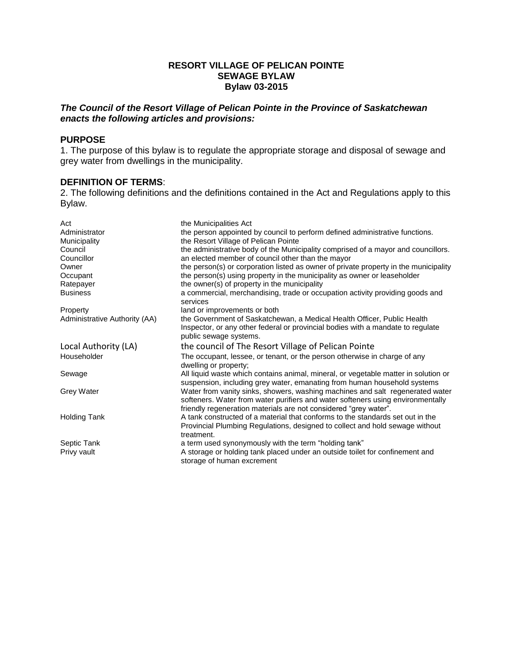### **RESORT VILLAGE OF PELICAN POINTE SEWAGE BYLAW Bylaw 03-2015**

# *The Council of the Resort Village of Pelican Pointe in the Province of Saskatchewan enacts the following articles and provisions:*

#### **PURPOSE**

1. The purpose of this bylaw is to regulate the appropriate storage and disposal of sewage and grey water from dwellings in the municipality.

### **DEFINITION OF TERMS**:

2. The following definitions and the definitions contained in the Act and Regulations apply to this Bylaw.

| Act                           | the Municipalities Act                                                                                                                                           |
|-------------------------------|------------------------------------------------------------------------------------------------------------------------------------------------------------------|
| Administrator                 | the person appointed by council to perform defined administrative functions.                                                                                     |
| Municipality                  | the Resort Village of Pelican Pointe                                                                                                                             |
| Council                       | the administrative body of the Municipality comprised of a mayor and councillors.                                                                                |
| Councillor                    | an elected member of council other than the mayor                                                                                                                |
| Owner                         | the person(s) or corporation listed as owner of private property in the municipality                                                                             |
| Occupant                      | the person(s) using property in the municipality as owner or leaseholder                                                                                         |
| Ratepayer                     | the owner(s) of property in the municipality                                                                                                                     |
| <b>Business</b>               | a commercial, merchandising, trade or occupation activity providing goods and                                                                                    |
|                               | services                                                                                                                                                         |
| Property                      | land or improvements or both                                                                                                                                     |
| Administrative Authority (AA) | the Government of Saskatchewan, a Medical Health Officer, Public Health                                                                                          |
|                               | Inspector, or any other federal or provincial bodies with a mandate to regulate<br>public sewage systems.                                                        |
|                               |                                                                                                                                                                  |
| Local Authority (LA)          | the council of The Resort Village of Pelican Pointe                                                                                                              |
| Householder                   | The occupant, lessee, or tenant, or the person otherwise in charge of any<br>dwelling or property;                                                               |
| Sewage                        | All liquid waste which contains animal, mineral, or vegetable matter in solution or<br>suspension, including grey water, emanating from human household systems  |
| <b>Grey Water</b>             | Water from vanity sinks, showers, washing machines and salt regenerated water<br>softeners. Water from water purifiers and water softeners using environmentally |
|                               | friendly regeneration materials are not considered "grey water".                                                                                                 |
| <b>Holding Tank</b>           | A tank constructed of a material that conforms to the standards set out in the                                                                                   |
|                               | Provincial Plumbing Regulations, designed to collect and hold sewage without                                                                                     |
|                               | treatment.                                                                                                                                                       |
| Septic Tank                   | a term used synonymously with the term "holding tank"                                                                                                            |
| Privy vault                   | A storage or holding tank placed under an outside toilet for confinement and                                                                                     |
|                               |                                                                                                                                                                  |